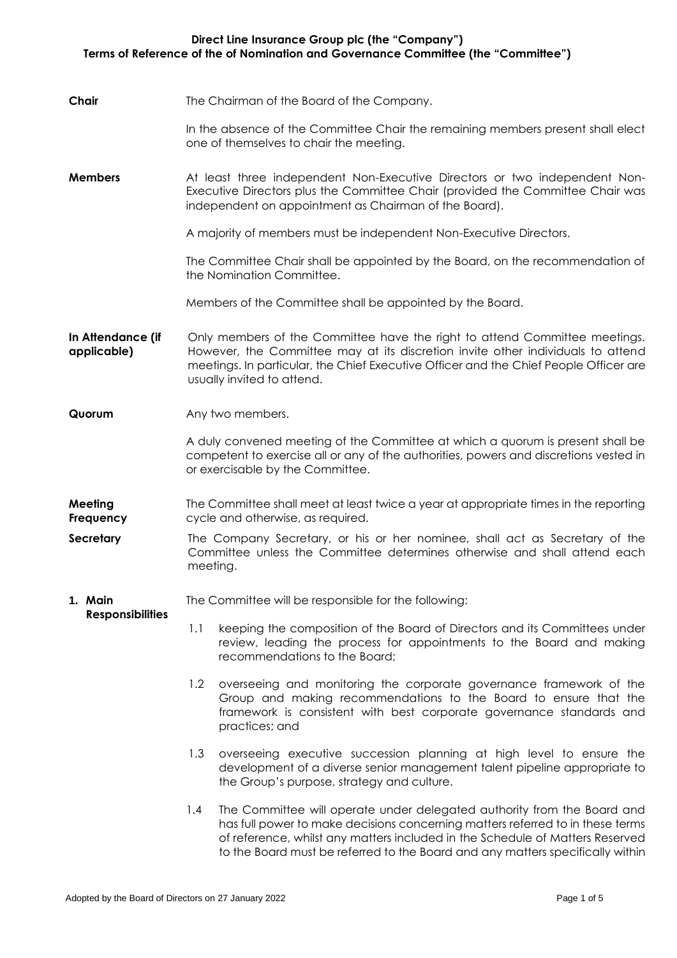## **Direct Line Insurance Group plc (the "Company") Terms of Reference of the of Nomination and Governance Committee (the "Committee")**

**Chair** The Chairman of the Board of the Company.

In the absence of the Committee Chair the remaining members present shall elect one of themselves to chair the meeting.

**Members** At least three independent Non-Executive Directors or two independent Non-Executive Directors plus the Committee Chair (provided the Committee Chair was independent on appointment as Chairman of the Board).

A majority of members must be independent Non-Executive Directors.

The Committee Chair shall be appointed by the Board, on the recommendation of the Nomination Committee.

Members of the Committee shall be appointed by the Board.

**In Attendance (if applicable)** Only members of the Committee have the right to attend Committee meetings. However, the Committee may at its discretion invite other individuals to attend meetings. In particular, the Chief Executive Officer and the Chief People Officer are usually invited to attend.

## **Quorum** Any two members.

**Responsibilities**

A duly convened meeting of the Committee at which a quorum is present shall be competent to exercise all or any of the authorities, powers and discretions vested in or exercisable by the Committee.

- **Meeting Frequency** The Committee shall meet at least twice a year at appropriate times in the reporting cycle and otherwise, as required.
- **Secretary** The Company Secretary, or his or her nominee, shall act as Secretary of the Committee unless the Committee determines otherwise and shall attend each meeting.

## **1. Main**  The Committee will be responsible for the following:

- 1.1 keeping the composition of the Board of Directors and its Committees under review, leading the process for appointments to the Board and making recommendations to the Board;
- 1.2 overseeing and monitoring the corporate governance framework of the Group and making recommendations to the Board to ensure that the framework is consistent with best corporate governance standards and practices; and
- 1.3 overseeing executive succession planning at high level to ensure the development of a diverse senior management talent pipeline appropriate to the Group's purpose, strategy and culture.
- 1.4 The Committee will operate under delegated authority from the Board and has full power to make decisions concerning matters referred to in these terms of reference, whilst any matters included in the Schedule of Matters Reserved to the Board must be referred to the Board and any matters specifically within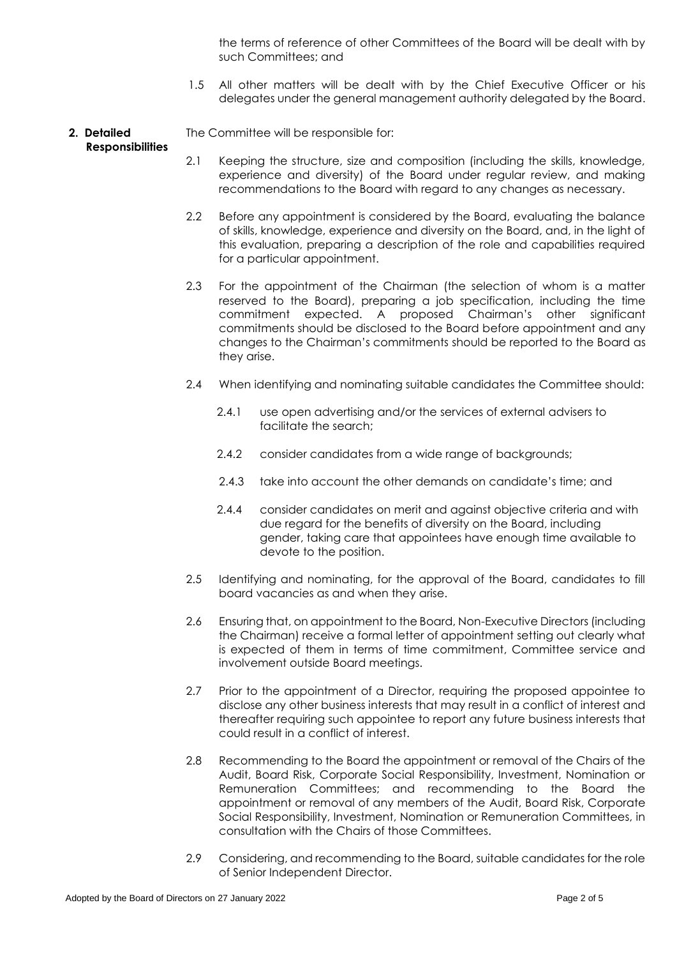the terms of reference of other Committees of the Board will be dealt with by such Committees; and

- 1.5 All other matters will be dealt with by the Chief Executive Officer or his delegates under the general management authority delegated by the Board.
- **2. Detailed**  The Committee will be responsible for:

## **Responsibilities**

- 2.1 Keeping the structure, size and composition (including the skills, knowledge, experience and diversity) of the Board under regular review, and making recommendations to the Board with regard to any changes as necessary.
- 2.2 Before any appointment is considered by the Board, evaluating the balance of skills, knowledge, experience and diversity on the Board, and, in the light of this evaluation, preparing a description of the role and capabilities required for a particular appointment.
- 2.3 For the appointment of the Chairman (the selection of whom is a matter reserved to the Board), preparing a job specification, including the time commitment expected. A proposed Chairman's other significant commitments should be disclosed to the Board before appointment and any changes to the Chairman's commitments should be reported to the Board as they arise.
- 2.4 When identifying and nominating suitable candidates the Committee should:
	- 2.4.1 use open advertising and/or the services of external advisers to facilitate the search;
	- 2.4.2 consider candidates from a wide range of backgrounds;
	- 2.4.3 take into account the other demands on candidate's time; and
	- 2.4.4 consider candidates on merit and against objective criteria and with due regard for the benefits of diversity on the Board, including gender, taking care that appointees have enough time available to devote to the position.
- 2.5 Identifying and nominating, for the approval of the Board, candidates to fill board vacancies as and when they arise.
- 2.6 Ensuring that, on appointment to the Board, Non-Executive Directors (including the Chairman) receive a formal letter of appointment setting out clearly what is expected of them in terms of time commitment, Committee service and involvement outside Board meetings.
- 2.7 Prior to the appointment of a Director, requiring the proposed appointee to disclose any other business interests that may result in a conflict of interest and thereafter requiring such appointee to report any future business interests that could result in a conflict of interest.
- 2.8 Recommending to the Board the appointment or removal of the Chairs of the Audit, Board Risk, Corporate Social Responsibility, Investment, Nomination or Remuneration Committees; and recommending to the Board the appointment or removal of any members of the Audit, Board Risk, Corporate Social Responsibility, Investment, Nomination or Remuneration Committees, in consultation with the Chairs of those Committees.
- 2.9 Considering, and recommending to the Board, suitable candidates for the role of Senior Independent Director.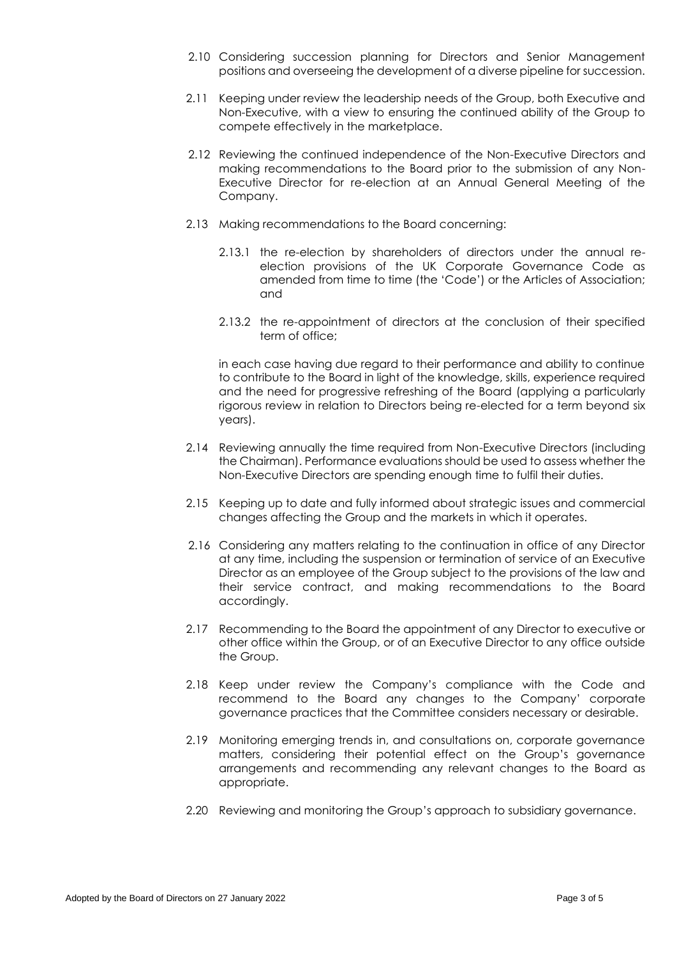- 2.10 Considering succession planning for Directors and Senior Management positions and overseeing the development of a diverse pipeline for succession.
- 2.11 Keeping under review the leadership needs of the Group, both Executive and Non-Executive, with a view to ensuring the continued ability of the Group to compete effectively in the marketplace.
- 2.12 Reviewing the continued independence of the Non-Executive Directors and making recommendations to the Board prior to the submission of any Non-Executive Director for re-election at an Annual General Meeting of the Company.
- 2.13 Making recommendations to the Board concerning:
	- 2.13.1 the re-election by shareholders of directors under the annual reelection provisions of the UK Corporate Governance Code as amended from time to time (the 'Code') or the Articles of Association; and
	- 2.13.2 the re-appointment of directors at the conclusion of their specified term of office;

in each case having due regard to their performance and ability to continue to contribute to the Board in light of the knowledge, skills, experience required and the need for progressive refreshing of the Board (applying a particularly rigorous review in relation to Directors being re-elected for a term beyond six years).

- 2.14 Reviewing annually the time required from Non-Executive Directors (including the Chairman). Performance evaluations should be used to assess whether the Non-Executive Directors are spending enough time to fulfil their duties.
- 2.15 Keeping up to date and fully informed about strategic issues and commercial changes affecting the Group and the markets in which it operates.
- 2.16 Considering any matters relating to the continuation in office of any Director at any time, including the suspension or termination of service of an Executive Director as an employee of the Group subject to the provisions of the law and their service contract, and making recommendations to the Board accordingly.
- 2.17 Recommending to the Board the appointment of any Director to executive or other office within the Group, or of an Executive Director to any office outside the Group.
- 2.18 Keep under review the Company's compliance with the Code and recommend to the Board any changes to the Company' corporate governance practices that the Committee considers necessary or desirable.
- 2.19 Monitoring emerging trends in, and consultations on, corporate governance matters, considering their potential effect on the Group's governance arrangements and recommending any relevant changes to the Board as appropriate.
- 2.20 Reviewing and monitoring the Group's approach to subsidiary governance.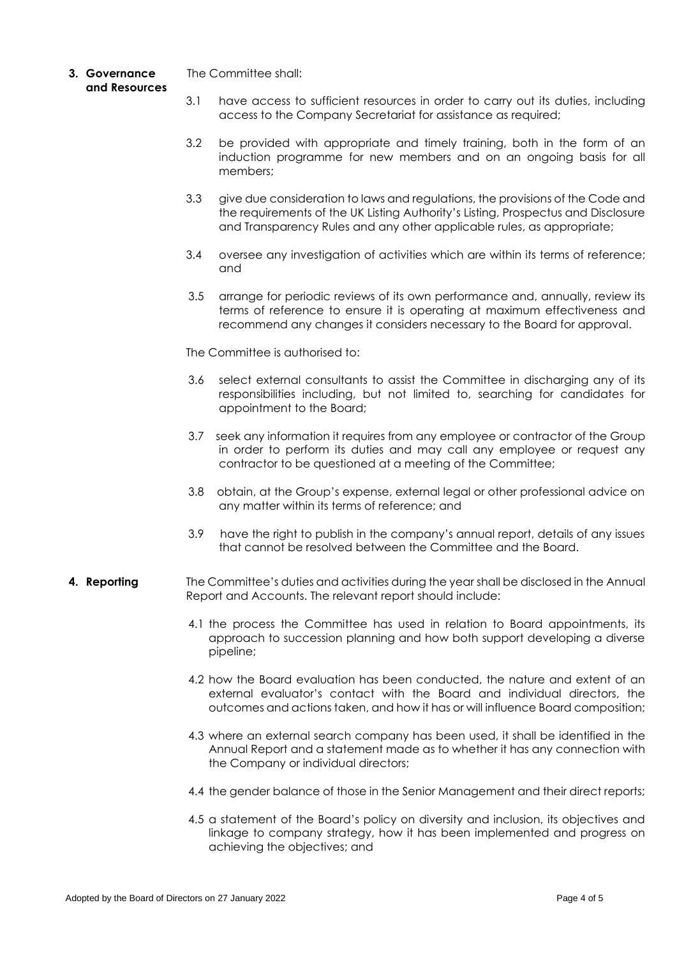- **3. Governance and Resources** The Committee shall:
	- 3.1 have access to sufficient resources in order to carry out its duties, including access to the Company Secretariat for assistance as required;
	- 3.2 be provided with appropriate and timely training, both in the form of an induction programme for new members and on an ongoing basis for all members;
	- 3.3 give due consideration to laws and regulations, the provisions of the Code and the requirements of the UK Listing Authority's Listing, Prospectus and Disclosure and Transparency Rules and any other applicable rules, as appropriate;
	- 3.4 oversee any investigation of activities which are within its terms of reference; and
	- 3.5 arrange for periodic reviews of its own performance and, annually, review its terms of reference to ensure it is operating at maximum effectiveness and recommend any changes it considers necessary to the Board for approval.

The Committee is authorised to:

- 3.6 select external consultants to assist the Committee in discharging any of its responsibilities including, but not limited to, searching for candidates for appointment to the Board;
- 3.7 seek any information it requires from any employee or contractor of the Group in order to perform its duties and may call any employee or request any contractor to be questioned at a meeting of the Committee;
- 3.8 obtain, at the Group's expense, external legal or other professional advice on any matter within its terms of reference; and
- 3.9 have the right to publish in the company's annual report, details of any issues that cannot be resolved between the Committee and the Board.
- **4. Reporting** The Committee's duties and activities during the year shall be disclosed in the Annual Report and Accounts. The relevant report should include:
	- 4.1 the process the Committee has used in relation to Board appointments, its approach to succession planning and how both support developing a diverse pipeline;
	- 4.2 how the Board evaluation has been conducted, the nature and extent of an external evaluator's contact with the Board and individual directors, the outcomes and actions taken, and how it has or will influence Board composition;
	- 4.3 where an external search company has been used, it shall be identified in the Annual Report and a statement made as to whether it has any connection with the Company or individual directors;
	- 4.4 the gender balance of those in the Senior Management and their direct reports;
	- 4.5 a statement of the Board's policy on diversity and inclusion, its objectives and linkage to company strategy, how it has been implemented and progress on achieving the objectives; and